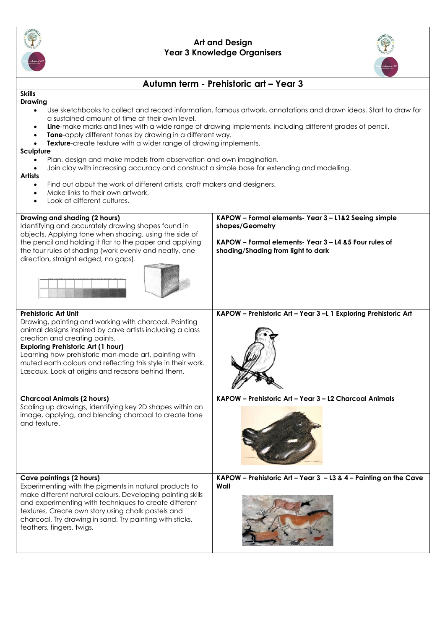

## **Art and Design Year 3 Knowledge Organisers**



# **Autumn term - Prehistoric art – Year 3**

#### **Skills Drawing**

- Use sketchbooks to collect and record information, famous artwork, annotations and drawn ideas. Start to draw for a sustained amount of time at their own level.
- **Line**-make marks and lines with a wide range of drawing implements, including different grades of pencil.
- **Tone**-apply different tones by drawing in a different way.
- **Texture-create texture with a wider range of drawing implements.**

### **Sculpture**

- Plan, design and make models from observation and own imagination.
- Join clay with increasing accuracy and construct a simple base for extending and modelling.

### **Artists**

- Find out about the work of different artists, craft makers and designers.
- Make links to their own artwork.
- Look at different cultures.

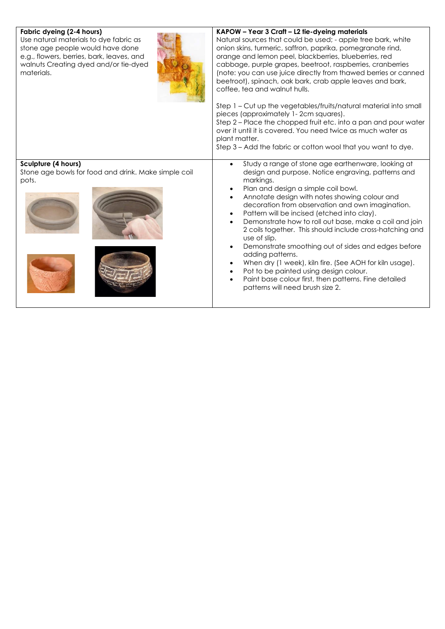| Fabric dyeing (2-4 hours)<br>Use natural materials to dye fabric as<br>stone age people would have done<br>e.g., flowers, berries, bark, leaves, and<br>walnuts Creating dyed and/or tie-dyed<br>materials. | KAPOW - Year 3 Craft - L2 tie-dyeing materials<br>Natural sources that could be used; - apple tree bark, white<br>onion skins, turmeric, saffron, paprika, pomegranate rind,<br>orange and lemon peel, blackberries, blueberries, red<br>cabbage, purple grapes, beetroot, raspberries, cranberries<br>(note: you can use juice directly from thawed berries or canned<br>beetroot), spinach, oak bark, crab apple leaves and bark,<br>coffee, tea and walnut hulls.<br>Step 1 - Cut up the vegetables/fruits/natural material into small<br>pieces (approximately 1-2cm squares).<br>Step 2 – Place the chopped fruit etc. into a pan and pour water<br>over it until it is covered. You need twice as much water as<br>plant matter.<br>Step 3 – Add the fabric or cotton wool that you want to dye. |
|-------------------------------------------------------------------------------------------------------------------------------------------------------------------------------------------------------------|--------------------------------------------------------------------------------------------------------------------------------------------------------------------------------------------------------------------------------------------------------------------------------------------------------------------------------------------------------------------------------------------------------------------------------------------------------------------------------------------------------------------------------------------------------------------------------------------------------------------------------------------------------------------------------------------------------------------------------------------------------------------------------------------------------|
| Sculpture (4 hours)<br>Stone age bowls for food and drink. Make simple coil<br>pots.                                                                                                                        | Study a range of stone age earthenware, looking at<br>design and purpose. Notice engraving, patterns and<br>markings.<br>Plan and design a simple coil bowl.<br>Annotate design with notes showing colour and<br>decoration from observation and own imagination.<br>Pattern will be incised (etched into clay).<br>Demonstrate how to roll out base, make a coil and join<br>2 coils together. This should include cross-hatching and<br>use of slip.<br>Demonstrate smoothing out of sides and edges before<br>$\bullet$<br>adding patterns.<br>When dry (1 week), kiln fire. (See AOH for kiln usage).<br>Pot to be painted using design colour.<br>Paint base colour first, then patterns. Fine detailed<br>patterns will need brush size 2.                                                       |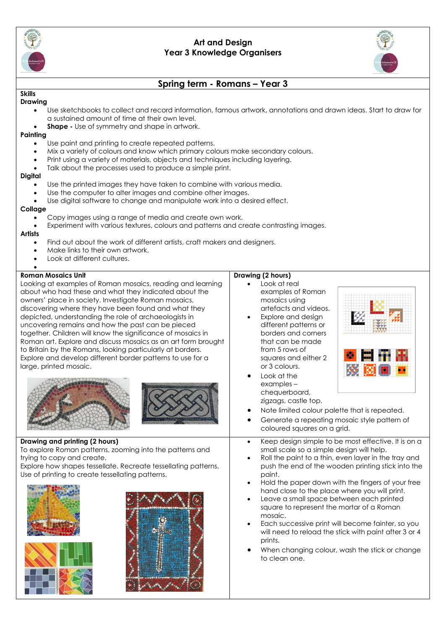

## **Art and Design Year 3 Knowledge Organisers**



# **Spring term - Romans – Year 3**

#### **Skills Drawing**

- Use sketchbooks to collect and record information, famous artwork, annotations and drawn ideas. Start to draw for a sustained amount of time at their own level.
- **Shape -** Use of symmetry and shape in artwork.

## **Painting**

- Use paint and printing to create repeated patterns.
- Mix a variety of colours and know which primary colours make secondary colours.
- Print using a variety of materials, objects and techniques including layering.
- Talk about the processes used to produce a simple print.

### **Digital**

- Use the printed images they have taken to combine with various media.
- Use the computer to alter images and combine other images.
- Use digital software to change and manipulate work into a desired effect.

### **Collage**

- Copy images using a range of media and create own work.
- Experiment with various textures, colours and patterns and create contrasting images.

### **Artists**

- Find out about the work of different artists, craft makers and designers.
- Make links to their own artwork.
- Look at different cultures.

### • **Roman Mosaics Unit**

Looking at examples of Roman mosaics, reading and learning about who had these and what they indicated about the owners' place in society. Investigate Roman mosaics, discovering where they have been found and what they depicted, understanding the role of archaeologists in uncovering remains and how the past can be pieced together. Children will know the significance of mosaics in Roman art. Explore and discuss mosaics as an art form brought to Britain by the Romans, looking particularly at borders. Explore and develop different border patterns to use for a large, printed mosaic.



**Drawing and printing (2 hours)** To explore Roman patterns, zooming into the patterns and trying to copy and create.

Explore how shapes tessellate. Recreate tessellating patterns. Use of printing to create tessellating patterns.





## **Drawing (2 hours)**

- Look at real examples of Roman mosaics using artefacts and videos.
- Explore and desian different patterns or borders and corners that can be made from 5 rows of squares and either 2 or 3 colours.
- Look at the examples – chequerboard, zigzags, castle top.



- Note limited colour palette that is repeated.
- Generate a repeating mosaic style pattern of coloured squares on a grid.
- Keep design simple to be most effective. It is on a small scale so a simple design will help.
- Roll the paint to a thin, even layer in the tray and push the end of the wooden printing stick into the paint.
- Hold the paper down with the fingers of your free hand close to the place where you will print.
- Leave a small space between each printed square to represent the mortar of a Roman mosaic.
- Each successive print will become fainter, so you will need to reload the stick with paint after 3 or 4 prints.
- When changing colour, wash the stick or change to clean one.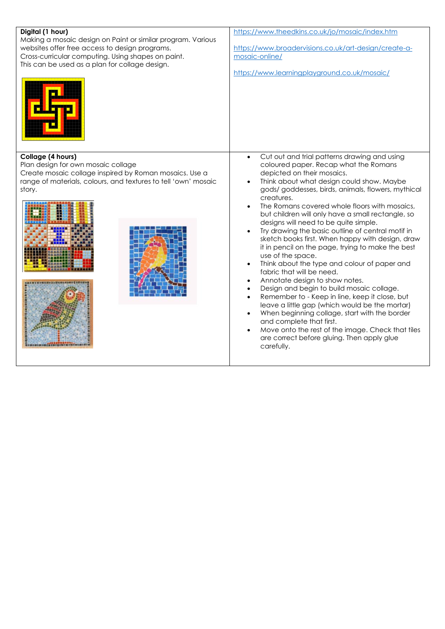| Digital (1 hour)<br>Making a mosaic design on Paint or similar program. Various<br>websites offer free access to design programs.<br>Cross-curricular computing. Using shapes on paint.<br>This can be used as a plan for collage design. | https://www.theedkins.co.uk/jo/mosaic/index.htm<br>https://www.broadervisions.co.uk/art-design/create-a-<br>mosaic-online/<br>https://www.learningplayground.co.uk/mosaic/                                                                                                                                                                                                                                                                                                                                                                                                                                                                                                                                                                                                                                                                                                                                                                                                                                                                                     |
|-------------------------------------------------------------------------------------------------------------------------------------------------------------------------------------------------------------------------------------------|----------------------------------------------------------------------------------------------------------------------------------------------------------------------------------------------------------------------------------------------------------------------------------------------------------------------------------------------------------------------------------------------------------------------------------------------------------------------------------------------------------------------------------------------------------------------------------------------------------------------------------------------------------------------------------------------------------------------------------------------------------------------------------------------------------------------------------------------------------------------------------------------------------------------------------------------------------------------------------------------------------------------------------------------------------------|
| Collage (4 hours)<br>Plan design for own mosaic collage<br>Create mosaic collage inspired by Roman mosaics. Use a<br>range of materials, colours, and textures to tell 'own' mosaic<br>story.                                             | Cut out and trial patterns drawing and using<br>$\bullet$<br>coloured paper. Recap what the Romans<br>depicted on their mosaics.<br>Think about what design could show. Maybe<br>gods/ goddesses, birds, animals, flowers, mythical<br>creatures.<br>The Romans covered whole floors with mosaics,<br>but children will only have a small rectangle, so<br>designs will need to be quite simple.<br>Try drawing the basic outline of central motif in<br>sketch books first. When happy with design, draw<br>it in pencil on the page, trying to make the best<br>use of the space.<br>Think about the type and colour of paper and<br>fabric that will be need.<br>Annotate design to show notes.<br>$\bullet$<br>Design and begin to build mosaic collage.<br>Remember to - Keep in line, keep it close, but<br>leave a little gap (which would be the mortar)<br>When beginning collage, start with the border<br>and complete that first.<br>Move onto the rest of the image. Check that tiles<br>are correct before gluing. Then apply glue<br>carefully. |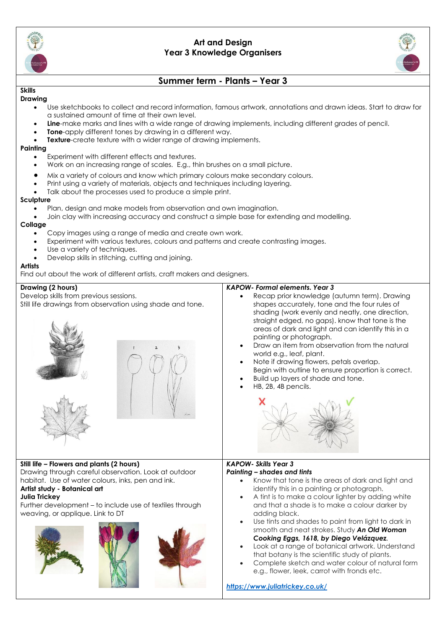

## **Art and Design Year 3 Knowledge Organisers**



# **Summer term - Plants – Year 3**

#### **Skills Drawing**

- Use sketchbooks to collect and record information, famous artwork, annotations and drawn ideas. Start to draw for a sustained amount of time at their own level.
- **Line**-make marks and lines with a wide range of drawing implements, including different grades of pencil.
- **Tone-**apply different tones by drawing in a different way.
- **Texture**-create texture with a wider range of drawing implements.

### **Painting**

- Experiment with different effects and textures.
- Work on an increasing range of scales. E.g., thin brushes on a small picture.
- Mix a variety of colours and know which primary colours make secondary colours.
- Print using a variety of materials, objects and techniques including layering.
- Talk about the processes used to produce a simple print.

### **Sculpture**

- Plan, design and make models from observation and own imagination.
- Join clay with increasing accuracy and construct a simple base for extending and modelling.

### **Collage**

- Copy images using a range of media and create own work.
- Experiment with various textures, colours and patterns and create contrasting images.
- Use a variety of techniques.
- Develop skills in stitching, cutting and joining.

### **Artists**

Find out about the work of different artists, craft makers and designers.

### **Drawing (2 hours)**

Develop skills from previous sessions. Still life drawings from observation using shade and tone.





### *KAPOW- Formal elements. Year 3*

- Recap prior knowledge (autumn term). Drawing shapes accurately, tone and the four rules of shading (work evenly and neatly, one direction, straight edged, no gaps). know that tone is the areas of dark and light and can identify this in a painting or photograph.
- Draw an item from observation from the natural world e.g., leaf, plant.
- Note if drawing flowers, petals overlap. Begin with outline to ensure proportion is correct.
- Build up layers of shade and tone.
- HB, 2B, 4B pencils.



## **Still life – Flowers and plants (2 hours)**

Drawing through careful observation. Look at outdoor habitat. Use of water colours, inks, pen and ink.

#### **Artist study - Botanical art Julia Trickey**

Further development – to include use of textiles through weaving, or applique. Link to DT



# *KAPOW- Skills Year 3*

### *Painting – shades and tints*

- Know that tone is the areas of dark and light and identify this in a painting or photograph.
- A tint is to make a colour lighter by adding white and that a shade is to make a colour darker by adding black.
- Use tints and shades to paint from light to dark in smooth and neat strokes. Study *An Old Woman Cooking Eggs, 1618, by Diego Velázquez.*
- Look at a range of botanical artwork. Understand that botany is the scientific study of plants.
- Complete sketch and water colour of natural form e.g., flower, leek, carrot with fronds etc.

*<https://www.juliatrickey.co.uk/>*